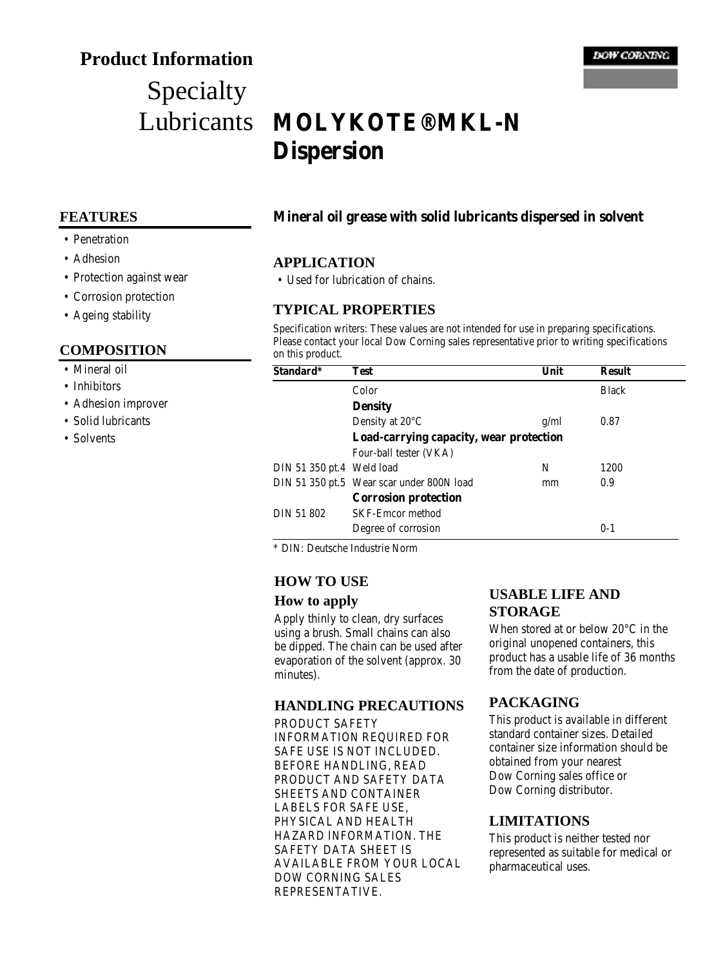# **Product Information**

# Specialty Lubricants

#### **DOW CORNING**

# **MOLYKOTE® MKL-N Dispersion**

#### **FEATURES**

- Penetration
- Adhesion
- Protection against wear
- Corrosion protection
- Ageing stability

#### **COMPOSITION**

- Mineral oil
- Inhibitors
- Adhesion improver
- Solid lubricants
- Solvents

#### **Mineral oil grease with solid lubricants dispersed in solvent**

#### **APPLICATION**

• Used for lubrication of chains.

#### **TYPICAL PROPERTIES**

Specification writers: These values are not intended for use in preparing specifications. Please contact your local Dow Corning sales representative prior to writing specifications on this product.

| Standard*                 | Test                                      | Unit | <b>Result</b> |
|---------------------------|-------------------------------------------|------|---------------|
|                           | Color                                     |      | <b>Black</b>  |
|                           | <b>Density</b>                            |      |               |
|                           | Density at $20^{\circ}$ C                 | g/ml | 0.87          |
|                           | Load-carrying capacity, wear protection   |      |               |
|                           | Four-ball tester (VKA)                    |      |               |
| DIN 51 350 pt.4 Weld load |                                           | N    | 1200          |
|                           | DIN 51 350 pt.5 Wear scar under 800N load | mm   | 0.9           |
|                           | <b>Corrosion protection</b>               |      |               |
| DIN 51 802                | <b>SKF-Emcor method</b>                   |      |               |
|                           | Degree of corrosion                       |      | $0 - 1$       |

\* DIN: Deutsche Industrie Norm

#### **HOW TO USE**

#### **How to apply**

Apply thinly to clean, dry surfaces using a brush. Small chains can also be dipped. The chain can be used after evaporation of the solvent (approx. 30 minutes).

#### **HANDLING PRECAUTIONS**

PRODUCT SAFETY INFORMATION REQUIRED FOR SAFE USE IS NOT INCLUDED. BEFORE HANDLING, READ PRODUCT AND SAFETY DATA SHEETS AND CONTAINER LABELS FOR SAFE USE, PHYSICAL AND HEALTH HAZARD INFORMATION. THE SAFETY DATA SHEET IS AVAILABLE FROM YOUR LOCAL DOW CORNING SALES REPRESENTATIVE.

### **USABLE LIFE AND STORAGE**

When stored at or below 20°C in the original unopened containers, this product has a usable life of 36 months from the date of production.

### **PACKAGING**

This product is available in different standard container sizes. Detailed container size information should be obtained from your nearest Dow Corning sales office or Dow Corning distributor.

#### **LIMITATIONS**

This product is neither tested nor represented as suitable for medical or pharmaceutical uses.